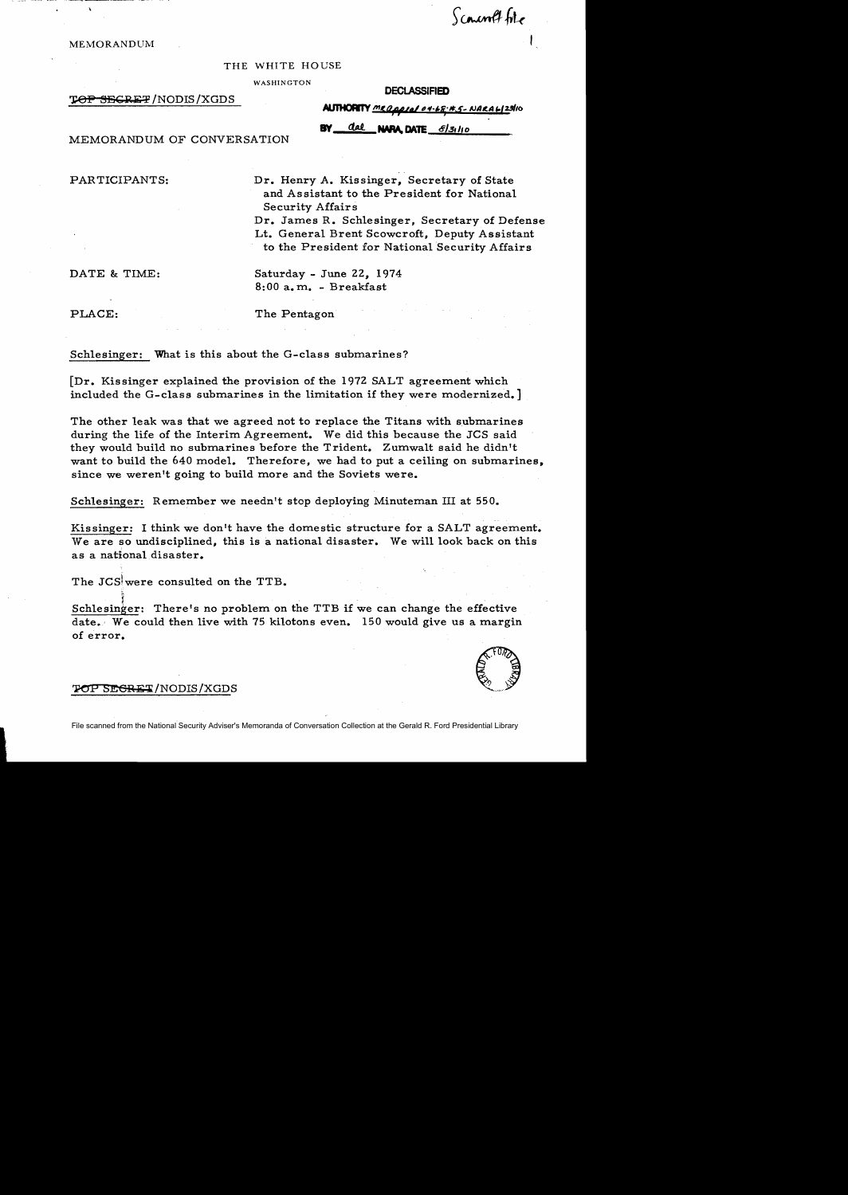Sconcord file

**MEMORANDUM** 

THE WHITE HOUSE

WASHINGTON

T<del>OP SECRET</del> /NODIS /XGDS

**DECLASSIFIED** 

**ALITHORITY** MRQ0010104-68-155-NARA6123110

 $\frac{da}{c}$  NAPA. DATE  $\frac{f}{s}$ .  $\frac{f}{s}$ 

MEMORANDUM OF CONVERSATION

PARTICIPANTS: Dr. Henry A. Kissinger, Secretary of State and Assistant to the President for National Security Affairs

> Dr. James R. Schlesinger, Secretary of Defense Lt. General Brent Scowcroft, Deputy Assistant to the President for National Security Affairs

DATE & TIME: Saturday - June 22, 1974 8: 00 a. m.. - Breakfast

PLACE: The Pentagon

Schlesinger: What is this about the G-class submarines?

 $[Dr. Kissinger explained the provision of the 1972 SALT agreement which]$ included the G-class submarines in the limitation if they were modernized.]

The other leak was that we agreed not to replace the Titans with submarines during the life of the Interim Agreement. We did this because the JCS said they would build no submarines before the Trident. Zumwalt said he didn't want to build the 640 model. Therefore, we had to put a ceiling on submarines. since we weren't going to build more and the Soviets were.

Schlesinger: Remember we needn't stop deploying Minuteman III at 550.

Kissinger: I think we don't have the domestic structure for a SALT agreement. We are so undisciplined, this is a national disaster. We will look back on this as a national disaster.

The JCS were consulted on the TTB.

 ${\rm Schlesinger:}\quad$  There's no problem on the TTB if we can change the effective date. We could then live with 75 kilotons even.  $150$  would give us a margin of error.



#### **TOP SEGRET/NODIS/XGDS**

 $\ddot{\phantom{1}}$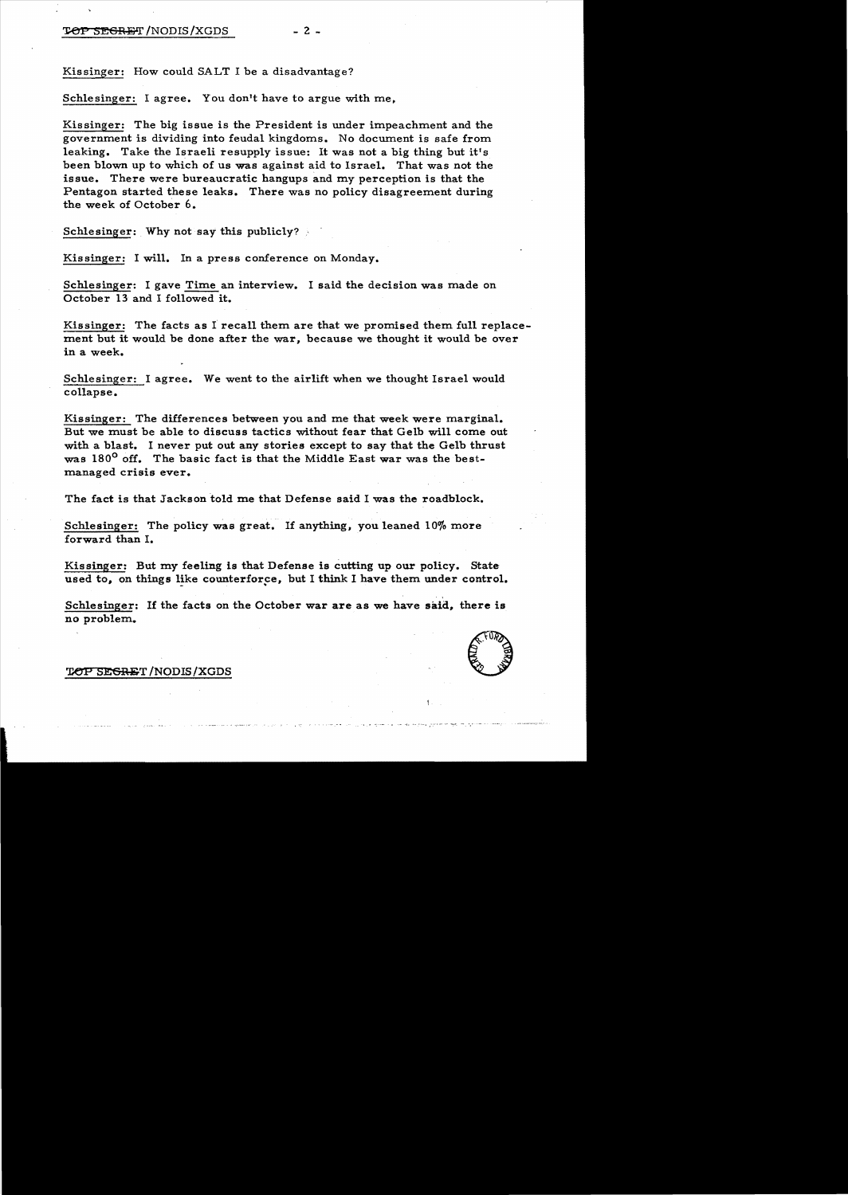Kissinger: How could SALT I be a disadvantage?

Schlesinger: I agree. You don't have to argue with me.

Kissinger: The big issue is the President is under impeachment and the government is dividing into feudal kingdoms. No document is safe from leaking. Take the Israeli resupply issue: It was not a big thing but it's been blown up to which of us was against aid to Israel. That was not the issue. There were bureaucratic hangups and my perception is that the Pentagon started these leaks. There was no policy disagreement during the week of October 6.

Schlesinger: Why not say this publicly?

Kissinger: I will. In a press conference on Monday.

Schlesinger: I gave Time an interview. I said the decision was made on October 13 and I followed it.

Kissinger: The facts as I recall them are that we promised them full replacement but it would be done after the war, because we thought it would be over in a week.

Schlesinger: I agree. We went to the airlift when we thought Israel would collapse.

Kissinger: The differences between you and me that week were marginal. But we must be able to discuss tactics without fear that Gelb will come out with a blast. I never put out any stories except to say that the Gelb thrust was 180<sup>0</sup> off. The basic fact is that the Middle East war was the bestmanaged crisis ever.

The fact is that Jackson told me that Defense said I was the roadblock.

Schlesinger: The policy was great. If anything, you leaned  $10\%$  more forward than I.

Kissinger: But my feeling is that Defense is cutting up our policy. State used to, on things like counterforce, but I think I have them under control.

Schlesinger: If the facts on the October war are as we have said, there is no problem.



#### TOP SEGRET/NODIS/XGDS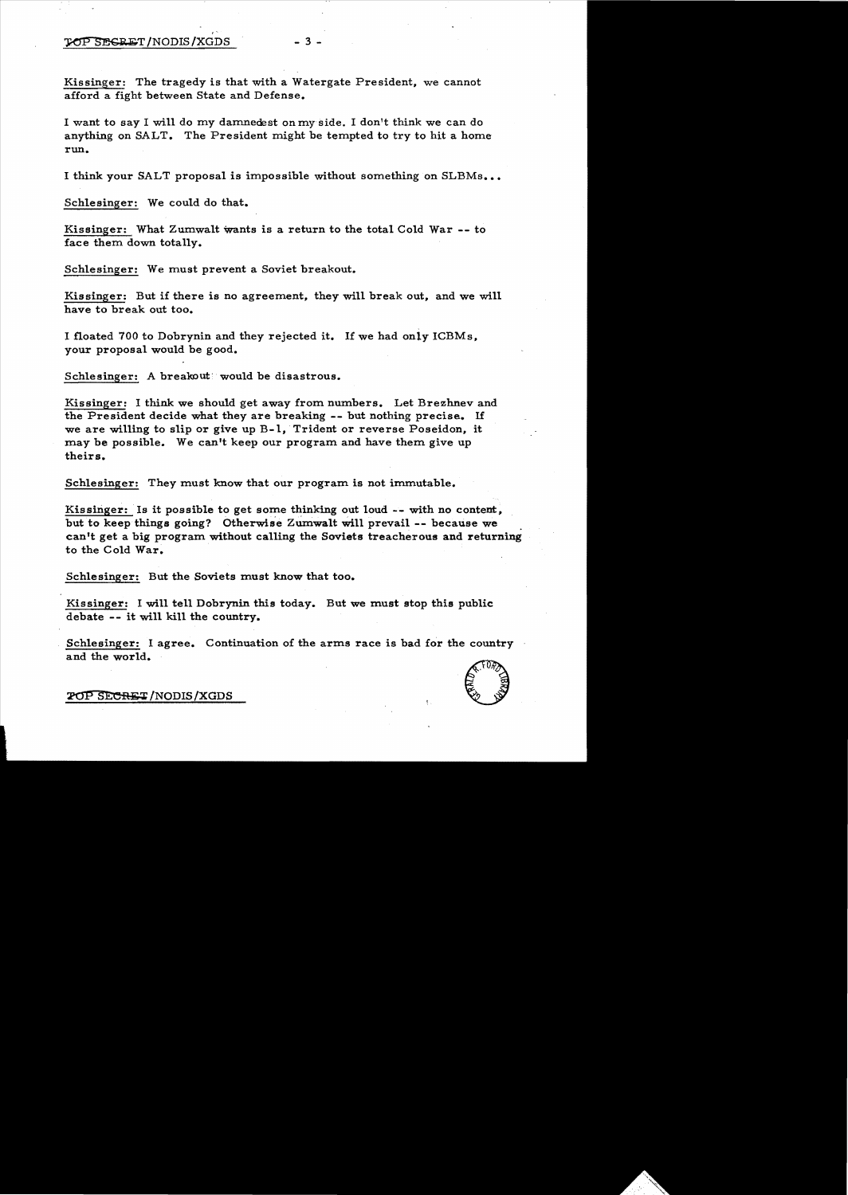#### TOP SEGRET/NODIS/XGDS - 3 -

Kissinger: The tragedy is that with a Watergate President, we cannot afford a fight between State and Defense.

I want to say I will do my damnedest onmyside. I don't think we can do anything on SALT. The President might be tempted to try to hit a home run.

I think your SALT proposal is impossible without something on SLBMs...

Schlesinger: We could do that.

Kissinger: What Zumwalt Wants is a return to the total Cold War **--** to face them down totally.

Schlesinger: We must prevent a Soviet breakout.

,

Kissinger: But if there is no agreement, they will break out, and we will have to break out too.

I floated 700 to Dobrynin and they rejected it. If we had only ICBMs, your proposal would be good.

Schlesinger: A breakout would be disastrous.

Kissinger: I think we should get away from numbers. Let Brezhnev and the President decide what they are breaking **--** but nothing precise. If we are willing to slip or give up  $B-1$ , Trident or reverse Poseidon, it may be possible. We can't keep our program and have them give up theirs.

Schlesinger: They must know that our program is not immutable.

Kissinger: Is it possible to get some thinking out loud -- with no content, but to keep things going? Otherwise ZUmwalt Will prevail **--** because we . can't get a big program without calling the Soviets treacherous and returning to the Cold War.

Schlesinger: But the Soviets must know that too.

Kissinger: I will tell Dobrynin this today. But we must stop this public debate **--** it will kill the country.

Schlesinger: I agree. Continuation of the arms race is bad for the country and the world. and the world.<br>2019 SECRET/NODIS/XGDS

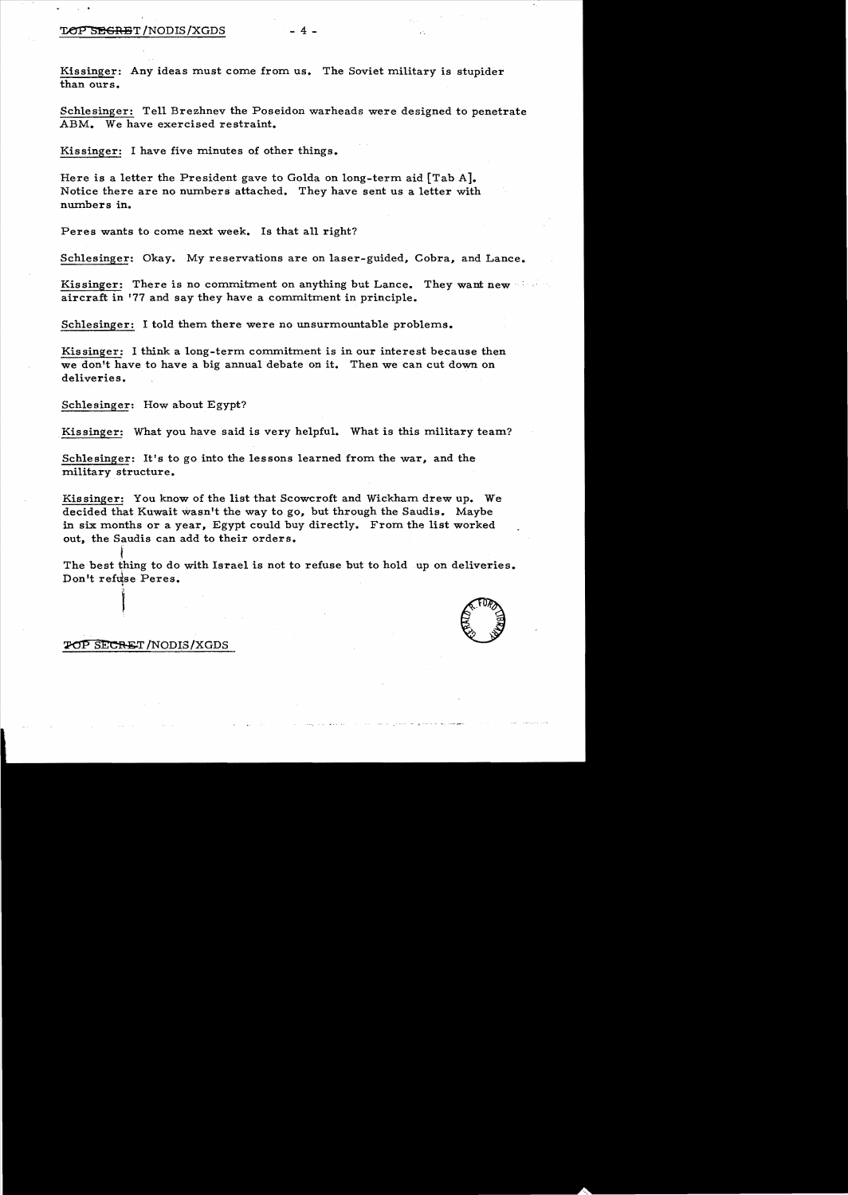#### TOP SECRET/NODIS/XGDS - 4

Kissinger: Any ideas must come from us. The Soviet military is stupider than ours.

Schlesinger: Tell Brezhnev the Poseidon warheads were designed to penetrate ABM. We have exercised restraint.

Kissinger: I have five minutes of other things.

Here is a letter the President gave to Golda on long-term aid [Tab A]. Notice there are no numbers attached. They have sent us a letter with numbers in.

Peres wants to come next week. Is that all right?

Schlesinger: Okay. My reservations are on laser-guided, Cobra, and Lance.

Kissinger: There is no commitment on anything but Lance. They want new aircraft in '77 and say they have a commitment in principle.

Schlesinger: I told them there were no unsurmountable problems.

Kissinger: I think a long-term commitment is in our interest because then we don't have to have a big annual debate on it. Then we can cut down on deliveries.

Schlesinger: How about Egypt?

Kissinger: What you have said is very helpful. What is this military team?

Schlesinger: It's to go into the lessons learned from the war, and the military structure.

Kissinger: You know of the list that Scowcroft and Wickham drew up. We decided that Kuwait wasn't the way to go, but through the Saudis. Maybe in six months or a year, Egypt could buy directly. From the list worked out, the Saudis can add to their orders.

f<br>f The best thing to do with Israel is not to refuse but to hold up on deliveries. Don't refuse Peres.



#### $\chi$ OP SECRET/NODIS/XGDS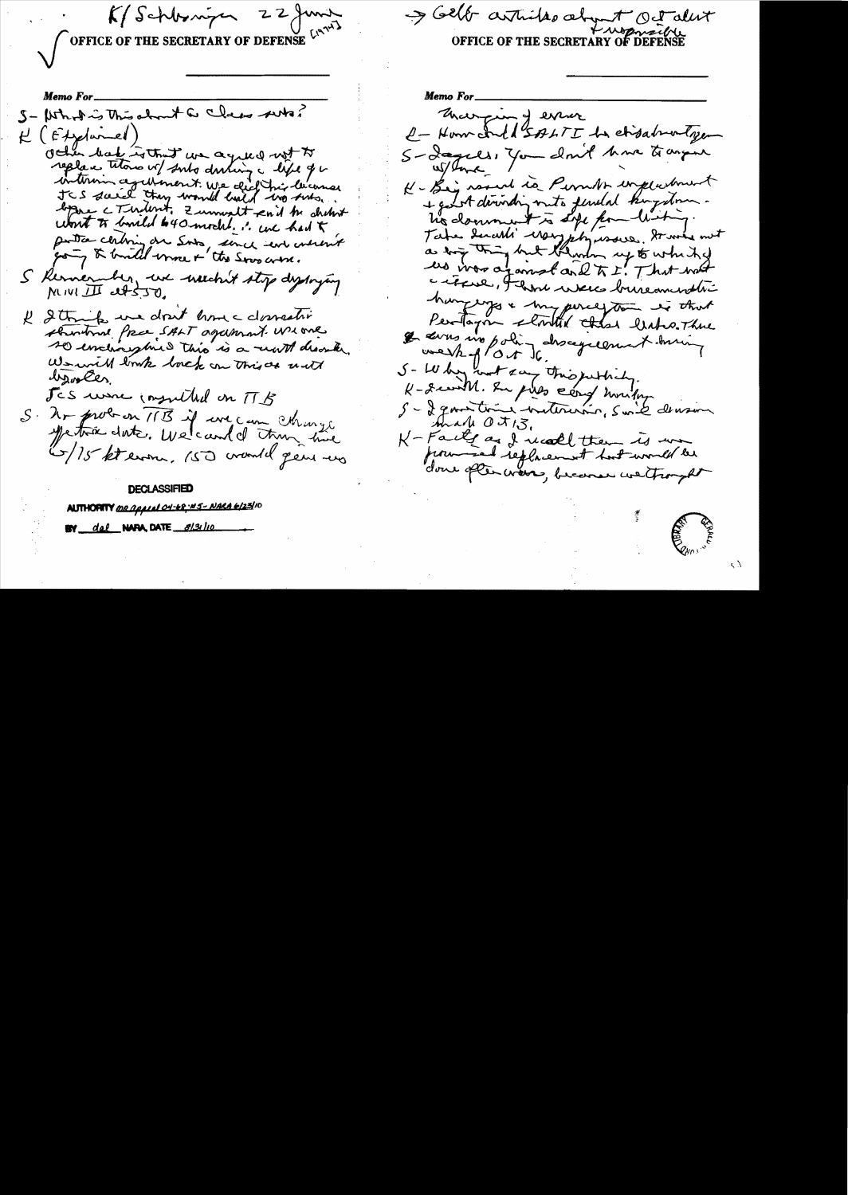OFFICE OF THE SECRETARY OF DEFENSE

 $K/Schlwingen = 22 fmT$ 

Selt articles abyt Octalit

Memo For\_ S- Whole is This about a class was?  $H(fAylumel)$ Other had without we agreed with To replace tetors of subs during a life of a interim againment. We did his lecomes JCS david they would hald wo subs. bygne c Turdent. Zummalt end to shihrt wont to build 640 mochl. I we had t portica chibring on Sorts, since sent understand S Kerner ber, une neechn't stop deploying MIVILI est 50. I String we don't have domestic showtown free SALT agament we one so enchargined this is a worth describe We will look lock on this as unt lyokes. Jes use insulted on TB S. Ar probon 11B if we can change (5/15 kt even. 150 crowld gens was

#### **DECLASSIFIED**

AUTHORITY <u>MR Appeal OH-68 WS- NARA 6/23/</u>10 BY del NAPA, DATE 8131110

Memo For\_ That ping error e-Home Ind SALTI be chigabratgen S- Iagells, You don't have to angene w/bord K- Big round is Permit, employment + good deriveding muto ferrelal kingstone. his domment is site for witing. Take denoted way physically graves must us was a jamet and TI. That not a refere, I have were bruse memberi hangerys & my perception is that Perform started that leader There I dans mo poling descegalement ming we shop  $\int_0^\infty$ S- Why wat any this justice, K- gewith. In pilo card montage S - I generation moternin, suite deuxon Made Oit 13. K-Faite as I meall them is un from said replacement hast world be done often wors, because we trought

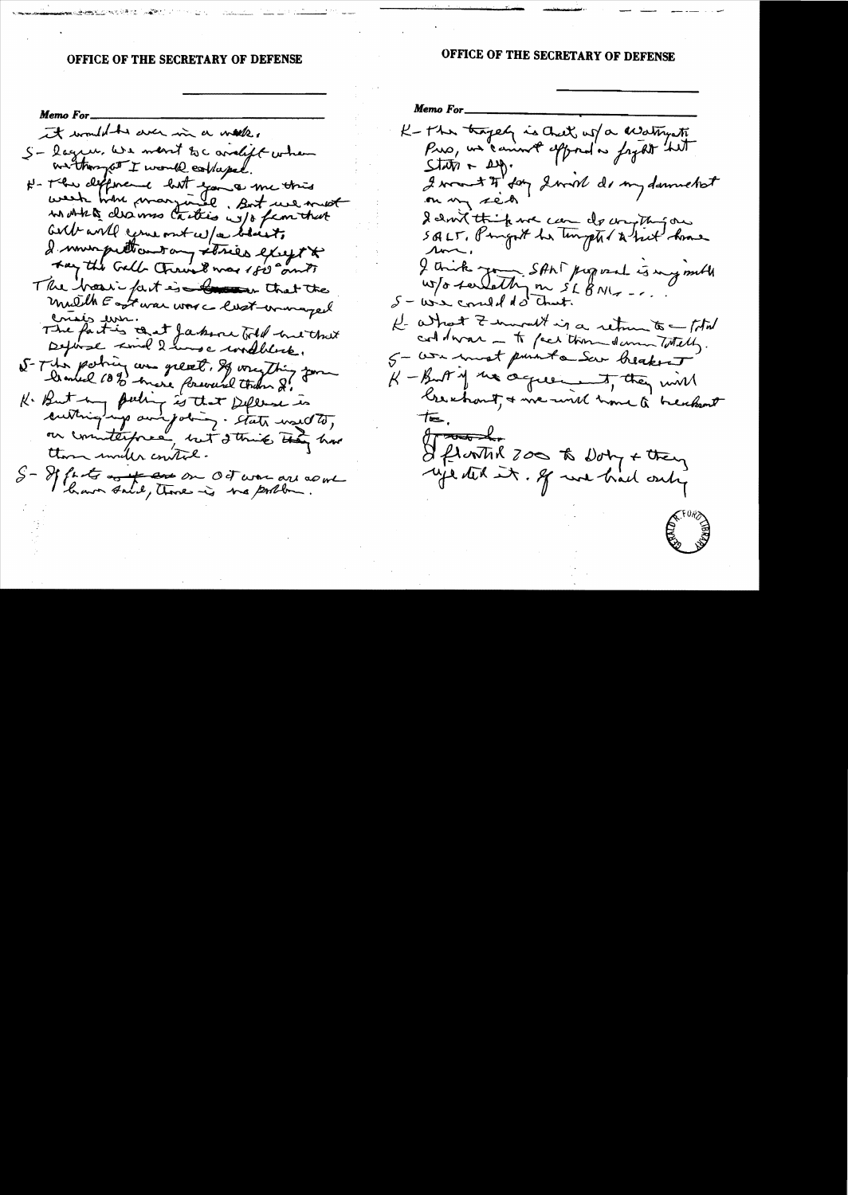### OFFICE OF THE SECRETARY OF DEFENSE

# OFFICE OF THE SECRETARY OF DEFENSE

Memo For it would be der in a water S- lagen we want to c avalift when we thought I would confused. H- The defence but you a me this in Artes desires Carties w/o familiat all will come out w/a black I murpettantany stries except to they the Gall Chronicle was 1820 and The hosti fast is that the mulith East was work content womanged crisis un.<br>The fact is that faker till his that S-The poting are great, If wrighing form K. But my puling is that Deferse is cultinging and jobing. State would to, on counterforce, but I think they have there inder control. S- If farts and the one of war are adout

Memo For K-The tragely is chet us a creatingthe  $\mathcal{S}(\mathcal{W})$  +  $\mathcal{W}$ . I want I for I will do my downed to on my sect I don't think we can do compting one ron. I counter Joy SANT perposed is my mill W/o serlethy on SL BNG -..  $S - \omega \times \omega d d d \omega$  count. He asked I murall is a return to - that coldwar - to face than damn Totally. 5 - We wast punt a Ser heakent K-But of the definerant, they will treatout, & we will have a breakant  $\theta$  root -I flooth 200 to Dony + they

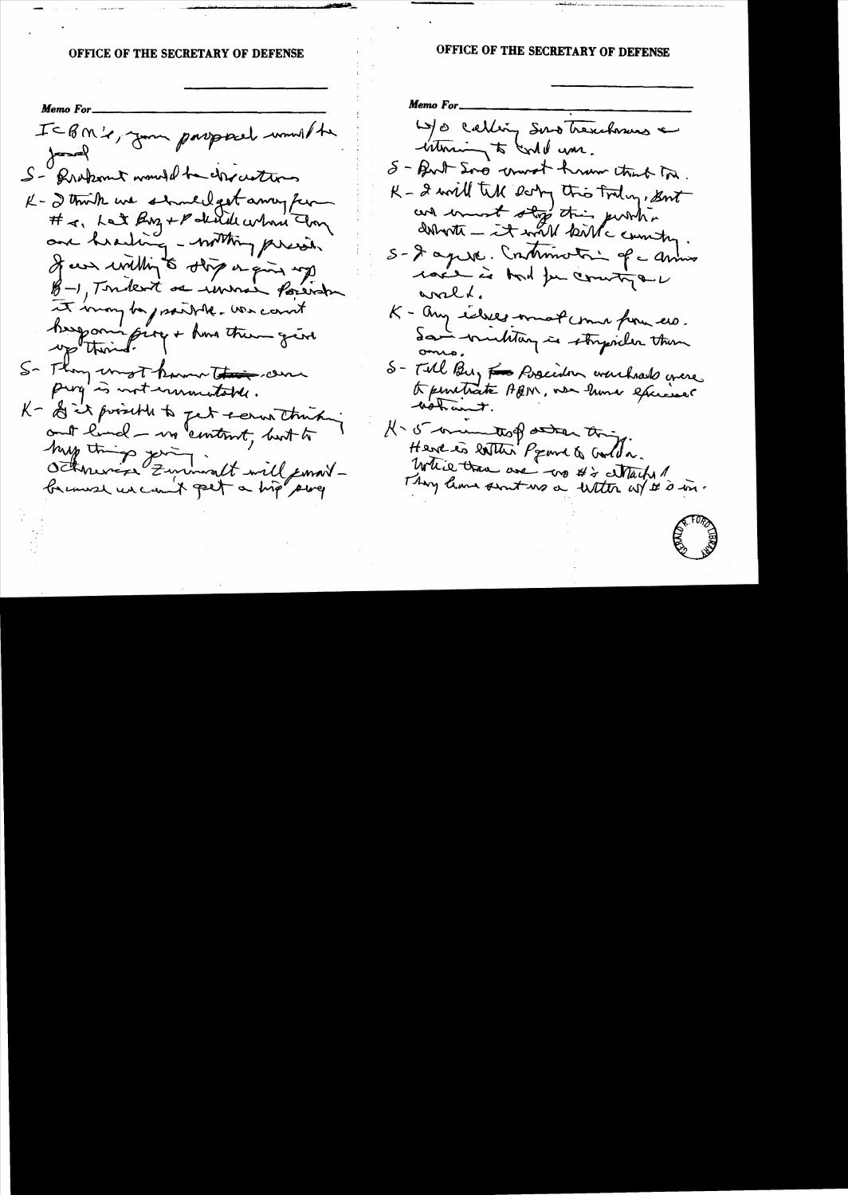### **OFFICE OF THE SECRETARY OF DEFENSE**

**Memo For** ICBM's, Jum porsporel would be  $\frac{1}{2}$ S- Probamit would be chractures K- I think we should get away for # a, Let Buz + Politice whom Im and hearting - withing present If we willing to stop or give up B-1, Toukert as immain foreign It may be prairie. We cannt keep oningive + have them give S- Thoughwast known the came prog is not immediated. K- of it prosent to get + error thinking and land - un "content, but to hay things young it will format

# OFFICE OF THE SECRETARY OF DEFENSE

**Memo For** W/o calling Sund Trenchmus a intercing to conte une.  $8 -$  But Sono worst hrow that In. K - 2 will tell body this today, But and must stop this pursh. doboth - it will kill country. S- I april . Continuation of a anno race is bord for country or wald. K - any ideas - must come from us. Saint-multing is stryicher than S- Till Bu, F = Poscidor warchards grace H- 5 mentof attar this Here is latter Preme & Corlea. While trace are - wo #2 Nacht 1